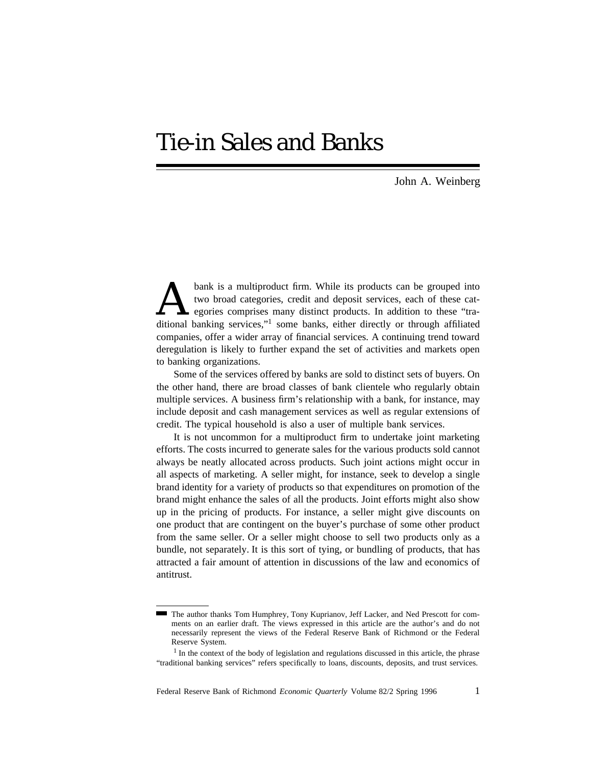# Tie-in Sales and Banks

John A. Weinberg

bank is a multiproduct firm. While its products can be grouped into two broad categories, credit and deposit services, each of these cat-<br>egories comprises many distinct products. In addition to these "tra-<br>ditional bankin bank is a multiproduct firm. While its products can be grouped into two broad categories, credit and deposit services, each of these categories comprises many distinct products. In addition to these "tracompanies, offer a wider array of financial services. A continuing trend toward deregulation is likely to further expand the set of activities and markets open to banking organizations.

Some of the services offered by banks are sold to distinct sets of buyers. On the other hand, there are broad classes of bank clientele who regularly obtain multiple services. A business firm's relationship with a bank, for instance, may include deposit and cash management services as well as regular extensions of credit. The typical household is also a user of multiple bank services.

It is not uncommon for a multiproduct firm to undertake joint marketing efforts. The costs incurred to generate sales for the various products sold cannot always be neatly allocated across products. Such joint actions might occur in all aspects of marketing. A seller might, for instance, seek to develop a single brand identity for a variety of products so that expenditures on promotion of the brand might enhance the sales of all the products. Joint efforts might also show up in the pricing of products. For instance, a seller might give discounts on one product that are contingent on the buyer's purchase of some other product from the same seller. Or a seller might choose to sell two products only as a bundle, not separately. It is this sort of tying, or bundling of products, that has attracted a fair amount of attention in discussions of the law and economics of antitrust.

The author thanks Tom Humphrey, Tony Kuprianov, Jeff Lacker, and Ned Prescott for comments on an earlier draft. The views expressed in this article are the author's and do not necessarily represent the views of the Federal Reserve Bank of Richmond or the Federal Reserve System.

<sup>&</sup>lt;sup>1</sup> In the context of the body of legislation and regulations discussed in this article, the phrase "traditional banking services" refers specifically to loans, discounts, deposits, and trust services.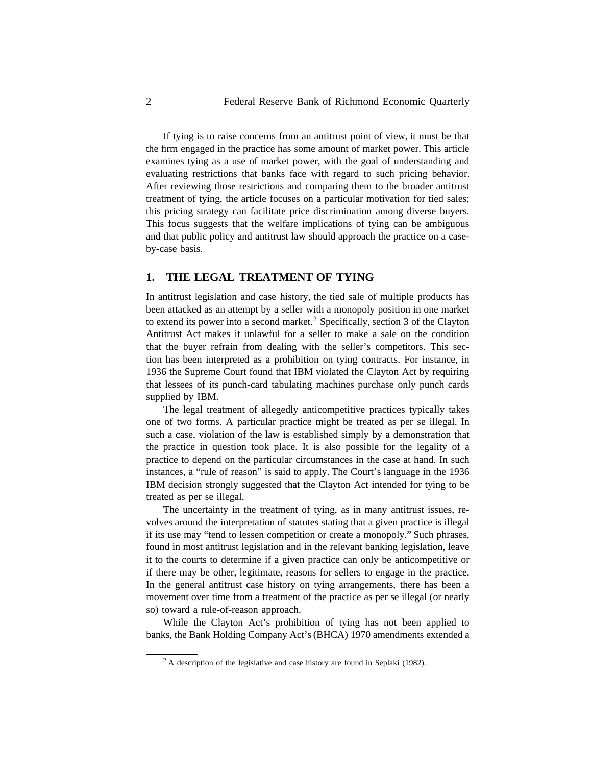If tying is to raise concerns from an antitrust point of view, it must be that the firm engaged in the practice has some amount of market power. This article examines tying as a use of market power, with the goal of understanding and evaluating restrictions that banks face with regard to such pricing behavior. After reviewing those restrictions and comparing them to the broader antitrust treatment of tying, the article focuses on a particular motivation for tied sales; this pricing strategy can facilitate price discrimination among diverse buyers. This focus suggests that the welfare implications of tying can be ambiguous and that public policy and antitrust law should approach the practice on a caseby-case basis.

# **1. THE LEGAL TREATMENT OF TYING**

In antitrust legislation and case history, the tied sale of multiple products has been attacked as an attempt by a seller with a monopoly position in one market to extend its power into a second market.<sup>2</sup> Specifically, section 3 of the Clayton Antitrust Act makes it unlawful for a seller to make a sale on the condition that the buyer refrain from dealing with the seller's competitors. This section has been interpreted as a prohibition on tying contracts. For instance, in 1936 the Supreme Court found that IBM violated the Clayton Act by requiring that lessees of its punch-card tabulating machines purchase only punch cards supplied by IBM.

The legal treatment of allegedly anticompetitive practices typically takes one of two forms. A particular practice might be treated as per se illegal. In such a case, violation of the law is established simply by a demonstration that the practice in question took place. It is also possible for the legality of a practice to depend on the particular circumstances in the case at hand. In such instances, a "rule of reason" is said to apply. The Court's language in the 1936 IBM decision strongly suggested that the Clayton Act intended for tying to be treated as per se illegal.

The uncertainty in the treatment of tying, as in many antitrust issues, revolves around the interpretation of statutes stating that a given practice is illegal if its use may "tend to lessen competition or create a monopoly." Such phrases, found in most antitrust legislation and in the relevant banking legislation, leave it to the courts to determine if a given practice can only be anticompetitive or if there may be other, legitimate, reasons for sellers to engage in the practice. In the general antitrust case history on tying arrangements, there has been a movement over time from a treatment of the practice as per se illegal (or nearly so) toward a rule-of-reason approach.

While the Clayton Act's prohibition of tying has not been applied to banks, the Bank Holding Company Act's(BHCA) 1970 amendments extended a

 $2 \text{ A description of the legislative and case history are found in Seplaki (1982).}$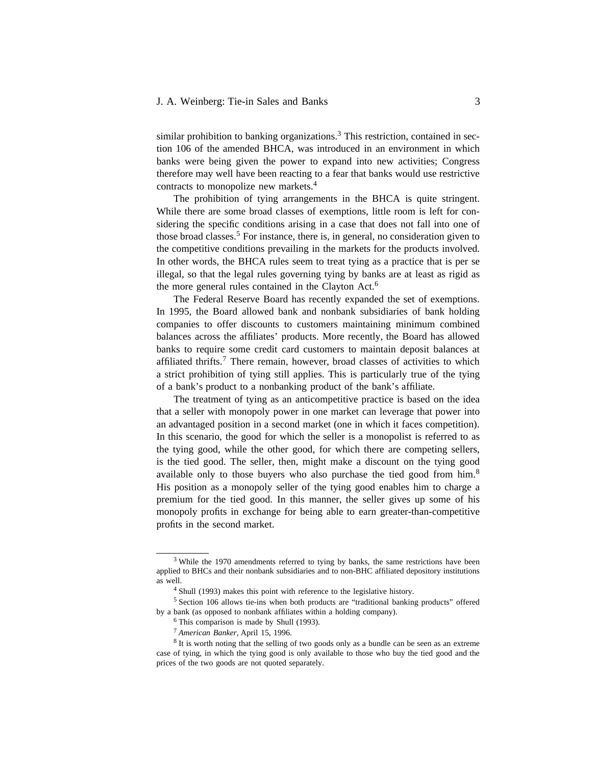#### J. A. Weinberg: Tie-in Sales and Banks 3

similar prohibition to banking organizations.<sup>3</sup> This restriction, contained in section 106 of the amended BHCA, was introduced in an environment in which banks were being given the power to expand into new activities; Congress therefore may well have been reacting to a fear that banks would use restrictive contracts to monopolize new markets.<sup>4</sup>

The prohibition of tying arrangements in the BHCA is quite stringent. While there are some broad classes of exemptions, little room is left for considering the specific conditions arising in a case that does not fall into one of those broad classes.<sup>5</sup> For instance, there is, in general, no consideration given to the competitive conditions prevailing in the markets for the products involved. In other words, the BHCA rules seem to treat tying as a practice that is per se illegal, so that the legal rules governing tying by banks are at least as rigid as the more general rules contained in the Clayton Act.<sup>6</sup>

The Federal Reserve Board has recently expanded the set of exemptions. In 1995, the Board allowed bank and nonbank subsidiaries of bank holding companies to offer discounts to customers maintaining minimum combined balances across the affiliates' products. More recently, the Board has allowed banks to require some credit card customers to maintain deposit balances at affiliated thrifts.<sup>7</sup> There remain, however, broad classes of activities to which a strict prohibition of tying still applies. This is particularly true of the tying of a bank's product to a nonbanking product of the bank's affiliate.

The treatment of tying as an anticompetitive practice is based on the idea that a seller with monopoly power in one market can leverage that power into an advantaged position in a second market (one in which it faces competition). In this scenario, the good for which the seller is a monopolist is referred to as the tying good, while the other good, for which there are competing sellers, is the tied good. The seller, then, might make a discount on the tying good available only to those buyers who also purchase the tied good from him.<sup>8</sup> His position as a monopoly seller of the tying good enables him to charge a premium for the tied good. In this manner, the seller gives up some of his monopoly profits in exchange for being able to earn greater-than-competitive profits in the second market.

<sup>&</sup>lt;sup>3</sup> While the 1970 amendments referred to tying by banks, the same restrictions have been applied to BHCs and their nonbank subsidiaries and to non-BHC affiliated depository institutions as well.

<sup>4</sup> Shull (1993) makes this point with reference to the legislative history.

<sup>5</sup> Section 106 allows tie-ins when both products are "traditional banking products" offered by a bank (as opposed to nonbank affiliates within a holding company).

<sup>6</sup> This comparison is made by Shull (1993).

<sup>7</sup> *American Banker,* April 15, 1996.

<sup>&</sup>lt;sup>8</sup> It is worth noting that the selling of two goods only as a bundle can be seen as an extreme case of tying, in which the tying good is only available to those who buy the tied good and the prices of the two goods are not quoted separately.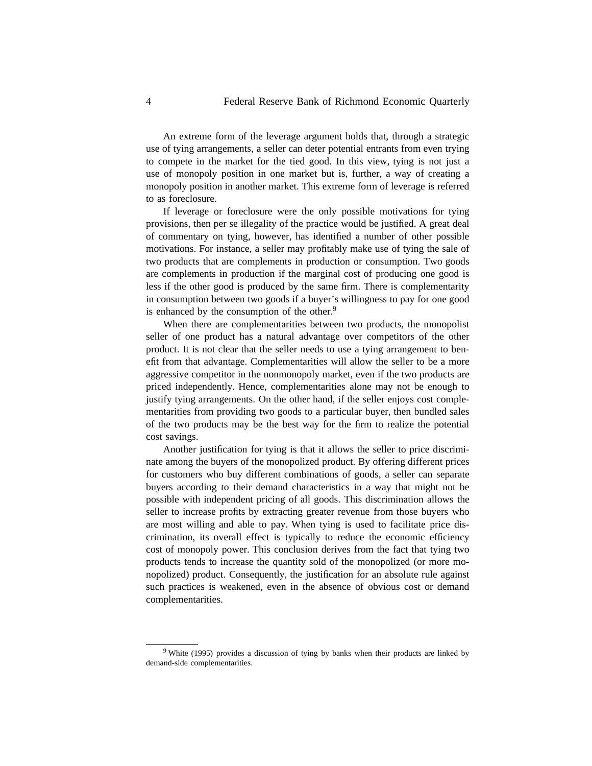An extreme form of the leverage argument holds that, through a strategic use of tying arrangements, a seller can deter potential entrants from even trying to compete in the market for the tied good. In this view, tying is not just a use of monopoly position in one market but is, further, a way of creating a monopoly position in another market. This extreme form of leverage is referred to as foreclosure.

If leverage or foreclosure were the only possible motivations for tying provisions, then per se illegality of the practice would be justified. A great deal of commentary on tying, however, has identified a number of other possible motivations. For instance, a seller may profitably make use of tying the sale of two products that are complements in production or consumption. Two goods are complements in production if the marginal cost of producing one good is less if the other good is produced by the same firm. There is complementarity in consumption between two goods if a buyer's willingness to pay for one good is enhanced by the consumption of the other.<sup>9</sup>

When there are complementarities between two products, the monopolist seller of one product has a natural advantage over competitors of the other product. It is not clear that the seller needs to use a tying arrangement to benefit from that advantage. Complementarities will allow the seller to be a more aggressive competitor in the nonmonopoly market, even if the two products are priced independently. Hence, complementarities alone may not be enough to justify tying arrangements. On the other hand, if the seller enjoys cost complementarities from providing two goods to a particular buyer, then bundled sales of the two products may be the best way for the firm to realize the potential cost savings.

Another justification for tying is that it allows the seller to price discriminate among the buyers of the monopolized product. By offering different prices for customers who buy different combinations of goods, a seller can separate buyers according to their demand characteristics in a way that might not be possible with independent pricing of all goods. This discrimination allows the seller to increase profits by extracting greater revenue from those buyers who are most willing and able to pay. When tying is used to facilitate price discrimination, its overall effect is typically to reduce the economic efficiency cost of monopoly power. This conclusion derives from the fact that tying two products tends to increase the quantity sold of the monopolized (or more monopolized) product. Consequently, the justification for an absolute rule against such practices is weakened, even in the absence of obvious cost or demand complementarities.

<sup>&</sup>lt;sup>9</sup> White (1995) provides a discussion of tying by banks when their products are linked by demand-side complementarities.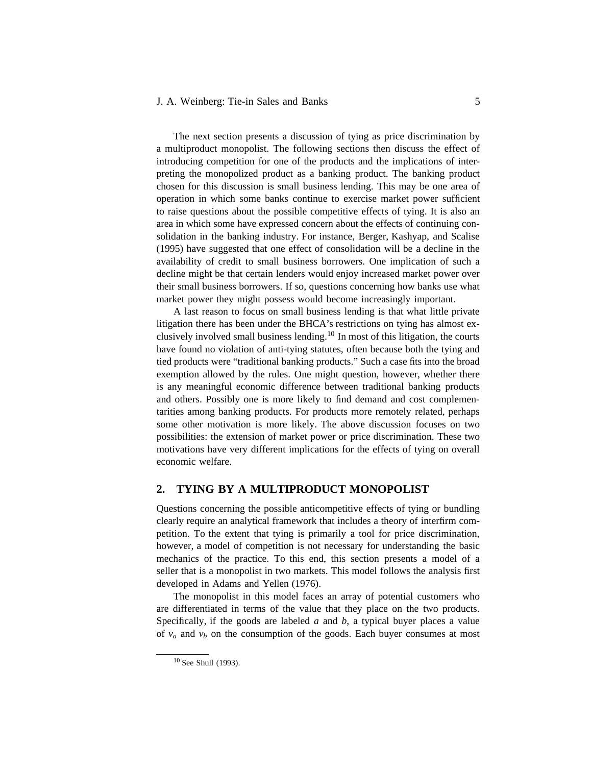# J. A. Weinberg: Tie-in Sales and Banks 5

The next section presents a discussion of tying as price discrimination by a multiproduct monopolist. The following sections then discuss the effect of introducing competition for one of the products and the implications of interpreting the monopolized product as a banking product. The banking product chosen for this discussion is small business lending. This may be one area of operation in which some banks continue to exercise market power sufficient to raise questions about the possible competitive effects of tying. It is also an area in which some have expressed concern about the effects of continuing consolidation in the banking industry. For instance, Berger, Kashyap, and Scalise (1995) have suggested that one effect of consolidation will be a decline in the availability of credit to small business borrowers. One implication of such a decline might be that certain lenders would enjoy increased market power over their small business borrowers. If so, questions concerning how banks use what market power they might possess would become increasingly important.

A last reason to focus on small business lending is that what little private litigation there has been under the BHCA's restrictions on tying has almost exclusively involved small business lending.<sup>10</sup> In most of this litigation, the courts have found no violation of anti-tying statutes, often because both the tying and tied products were "traditional banking products." Such a case fits into the broad exemption allowed by the rules. One might question, however, whether there is any meaningful economic difference between traditional banking products and others. Possibly one is more likely to find demand and cost complementarities among banking products. For products more remotely related, perhaps some other motivation is more likely. The above discussion focuses on two possibilities: the extension of market power or price discrimination. These two motivations have very different implications for the effects of tying on overall economic welfare.

## **2. TYING BY A MULTIPRODUCT MONOPOLIST**

Questions concerning the possible anticompetitive effects of tying or bundling clearly require an analytical framework that includes a theory of interfirm competition. To the extent that tying is primarily a tool for price discrimination, however, a model of competition is not necessary for understanding the basic mechanics of the practice. To this end, this section presents a model of a seller that is a monopolist in two markets. This model follows the analysis first developed in Adams and Yellen (1976).

The monopolist in this model faces an array of potential customers who are differentiated in terms of the value that they place on the two products. Specifically, if the goods are labeled *a* and *b*, a typical buyer places a value of  $v_a$  and  $v_b$  on the consumption of the goods. Each buyer consumes at most

<sup>10</sup> See Shull (1993).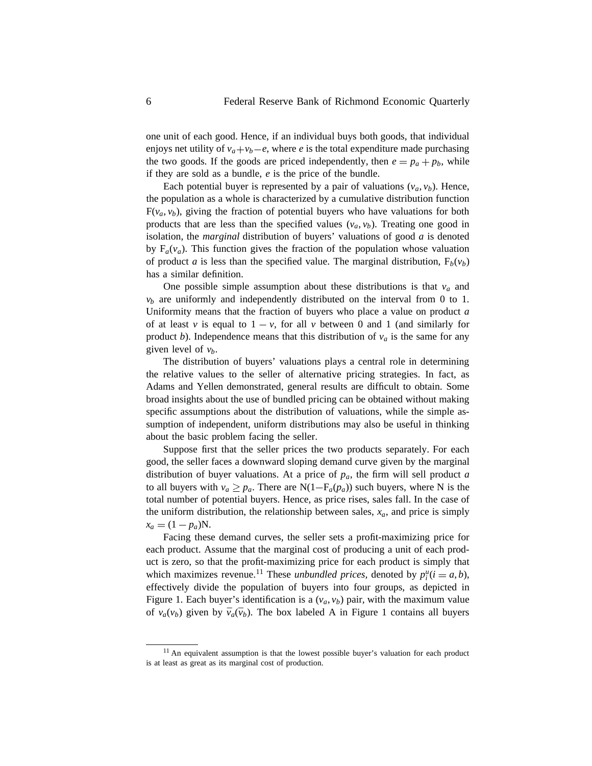one unit of each good. Hence, if an individual buys both goods, that individual enjoys net utility of  $v_a + v_b - e$ , where *e* is the total expenditure made purchasing the two goods. If the goods are priced independently, then  $e = p_a + p_b$ , while if they are sold as a bundle, *e* is the price of the bundle.

Each potential buyer is represented by a pair of valuations  $(v_a, v_b)$ . Hence, the population as a whole is characterized by a cumulative distribution function  $F(v_a, v_b)$ , giving the fraction of potential buyers who have valuations for both products that are less than the specified values  $(v_a, v_b)$ . Treating one good in isolation, the *marginal* distribution of buyers' valuations of good *a* is denoted by  $F_a(v_a)$ . This function gives the fraction of the population whose valuation of product *a* is less than the specified value. The marginal distribution,  $F_b(v_b)$ has a similar definition.

One possible simple assumption about these distributions is that  $v_a$  and  $v<sub>b</sub>$  are uniformly and independently distributed on the interval from 0 to 1. Uniformity means that the fraction of buyers who place a value on product *a* of at least *v* is equal to  $1 - v$ , for all *v* between 0 and 1 (and similarly for product *b*). Independence means that this distribution of  $v_a$  is the same for any given level of *vb*.

The distribution of buyers' valuations plays a central role in determining the relative values to the seller of alternative pricing strategies. In fact, as Adams and Yellen demonstrated, general results are difficult to obtain. Some broad insights about the use of bundled pricing can be obtained without making specific assumptions about the distribution of valuations, while the simple assumption of independent, uniform distributions may also be useful in thinking about the basic problem facing the seller.

Suppose first that the seller prices the two products separately. For each good, the seller faces a downward sloping demand curve given by the marginal distribution of buyer valuations. At a price of *pa*, the firm will sell product *a* to all buyers with  $v_a \geq p_a$ . There are N(1–F<sub>a</sub>( $p_a$ )) such buyers, where N is the total number of potential buyers. Hence, as price rises, sales fall. In the case of the uniform distribution, the relationship between sales,  $x_a$ , and price is simply  $x_a = (1 - p_a)N$ .

Facing these demand curves, the seller sets a profit-maximizing price for each product. Assume that the marginal cost of producing a unit of each product is zero, so that the profit-maximizing price for each product is simply that which maximizes revenue.<sup>11</sup> These *unbundled prices*, denoted by  $p_i^u(i = a, b)$ , effectively divide the population of buyers into four groups, as depicted in Figure 1. Each buyer's identification is a  $(v_a, v_b)$  pair, with the maximum value of  $v_a(v_b)$  given by  $\bar{v}_a(\bar{v}_b)$ . The box labeled A in Figure 1 contains all buyers

<sup>&</sup>lt;sup>11</sup> An equivalent assumption is that the lowest possible buyer's valuation for each product is at least as great as its marginal cost of production.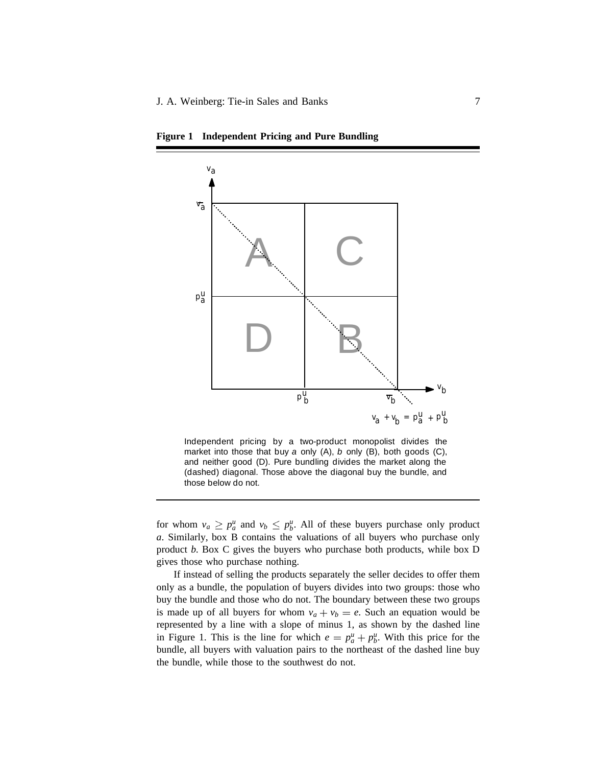

**Figure 1 Independent Pricing and Pure Bundling**

Independent pricing by a two-product monopolist divides the market into those that buy *a* only (A), *b* only (B), both goods (C), and neither good (D). Pure bundling divides the market along the (dashed) diagonal. Those above the diagonal buy the bundle, and those below do not.

for whom  $v_a \geq p_a^u$  and  $v_b \leq p_b^u$ . All of these buyers purchase only product *a*. Similarly, box B contains the valuations of all buyers who purchase only product *b*. Box C gives the buyers who purchase both products, while box D gives those who purchase nothing.

If instead of selling the products separately the seller decides to offer them only as a bundle, the population of buyers divides into two groups: those who buy the bundle and those who do not. The boundary between these two groups is made up of all buyers for whom  $v_a + v_b = e$ . Such an equation would be represented by a line with a slope of minus 1, as shown by the dashed line in Figure 1. This is the line for which  $e = p_a^u + p_b^u$ . With this price for the bundle, all buyers with valuation pairs to the northeast of the dashed line buy the bundle, while those to the southwest do not.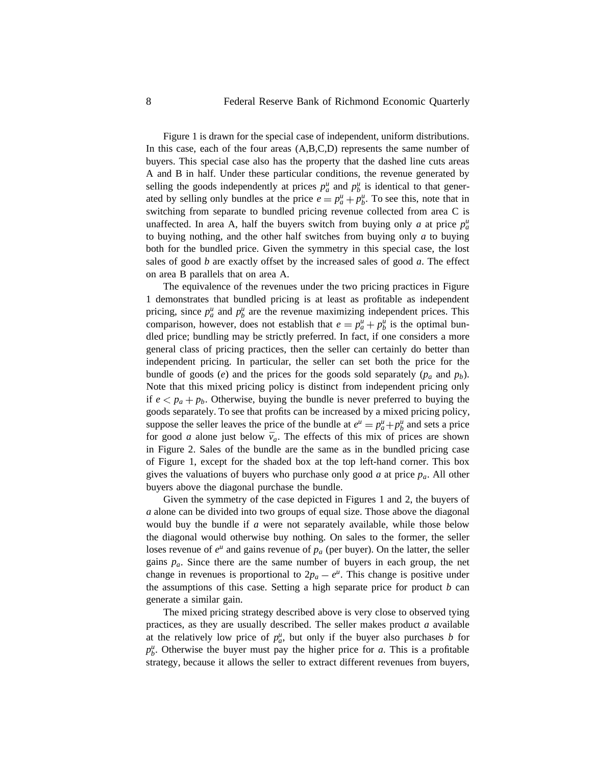Figure 1 is drawn for the special case of independent, uniform distributions. In this case, each of the four areas (A,B,C,D) represents the same number of buyers. This special case also has the property that the dashed line cuts areas A and B in half. Under these particular conditions, the revenue generated by selling the goods independently at prices  $p_a^u$  and  $p_b^u$  is identical to that generated by selling only bundles at the price  $e = p_a^u + p_b^u$ . To see this, note that in switching from separate to bundled pricing revenue collected from area C is unaffected. In area A, half the buyers switch from buying only *a* at price  $p_a^u$ to buying nothing, and the other half switches from buying only *a* to buying both for the bundled price. Given the symmetry in this special case, the lost sales of good *b* are exactly offset by the increased sales of good *a*. The effect on area B parallels that on area A.

The equivalence of the revenues under the two pricing practices in Figure 1 demonstrates that bundled pricing is at least as profitable as independent pricing, since  $p^u_a$  and  $p^u_b$  are the revenue maximizing independent prices. This comparison, however, does not establish that  $e = p_a^u + p_b^u$  is the optimal bundled price; bundling may be strictly preferred. In fact, if one considers a more general class of pricing practices, then the seller can certainly do better than independent pricing. In particular, the seller can set both the price for the bundle of goods (*e*) and the prices for the goods sold separately ( $p_a$  and  $p_b$ ). Note that this mixed pricing policy is distinct from independent pricing only if  $e < p_a + p_b$ . Otherwise, buying the bundle is never preferred to buying the goods separately. To see that profits can be increased by a mixed pricing policy, suppose the seller leaves the price of the bundle at  $e^u = p^u_a + p^u_b$  and sets a price for good *a* alone just below  $\bar{v}_a$ . The effects of this mix of prices are shown in Figure 2. Sales of the bundle are the same as in the bundled pricing case of Figure 1, except for the shaded box at the top left-hand corner. This box gives the valuations of buyers who purchase only good *a* at price *pa*. All other buyers above the diagonal purchase the bundle.

Given the symmetry of the case depicted in Figures 1 and 2, the buyers of *a* alone can be divided into two groups of equal size. Those above the diagonal would buy the bundle if *a* were not separately available, while those below the diagonal would otherwise buy nothing. On sales to the former, the seller loses revenue of  $e^u$  and gains revenue of  $p_a$  (per buyer). On the latter, the seller gains  $p_a$ . Since there are the same number of buyers in each group, the net change in revenues is proportional to  $2p_a - e^u$ . This change is positive under the assumptions of this case. Setting a high separate price for product *b* can generate a similar gain.

The mixed pricing strategy described above is very close to observed tying practices, as they are usually described. The seller makes product *a* available at the relatively low price of  $p_a^u$ , but only if the buyer also purchases *b* for  $p_b^u$ . Otherwise the buyer must pay the higher price for *a*. This is a profitable strategy, because it allows the seller to extract different revenues from buyers,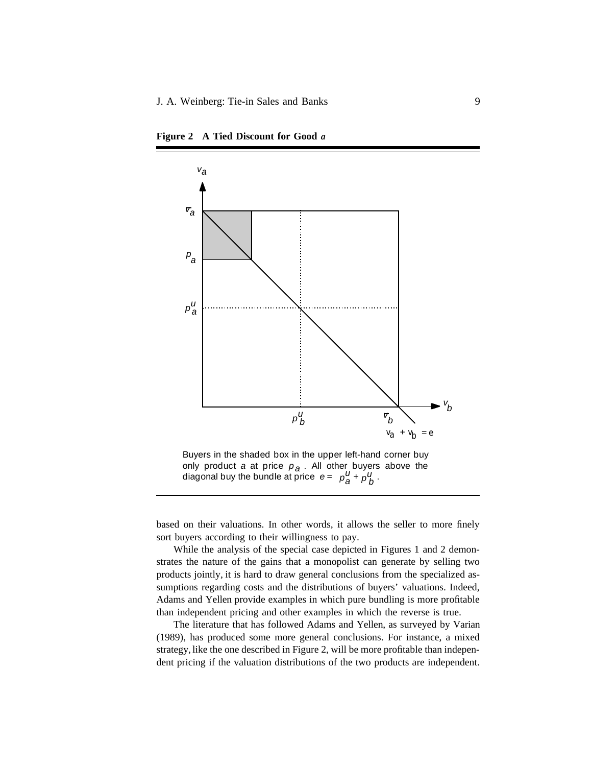

**Figure 2 A Tied Discount for Good** *a*

Buyers in the shaded box in the upper left-hand corner buy only product *a* at price  $p_{\mathcal{A}}$ . All other buyers above the diagonal buy the bundle at price *e = a*  $+ \rho_h^U$ .  $p_a^U + p_b^U$ *a*

 $\frac{1}{2}$ 

based on their valuations. In other words, it allows the seller to more finely sort buyers according to their willingness to pay.

While the analysis of the special case depicted in Figures 1 and 2 demonstrates the nature of the gains that a monopolist can generate by selling two products jointly, it is hard to draw general conclusions from the specialized assumptions regarding costs and the distributions of buyers' valuations. Indeed, Adams and Yellen provide examples in which pure bundling is more profitable than independent pricing and other examples in which the reverse is true.

The literature that has followed Adams and Yellen, as surveyed by Varian (1989), has produced some more general conclusions. For instance, a mixed strategy, like the one described in Figure 2, will be more profitable than independent pricing if the valuation distributions of the two products are independent.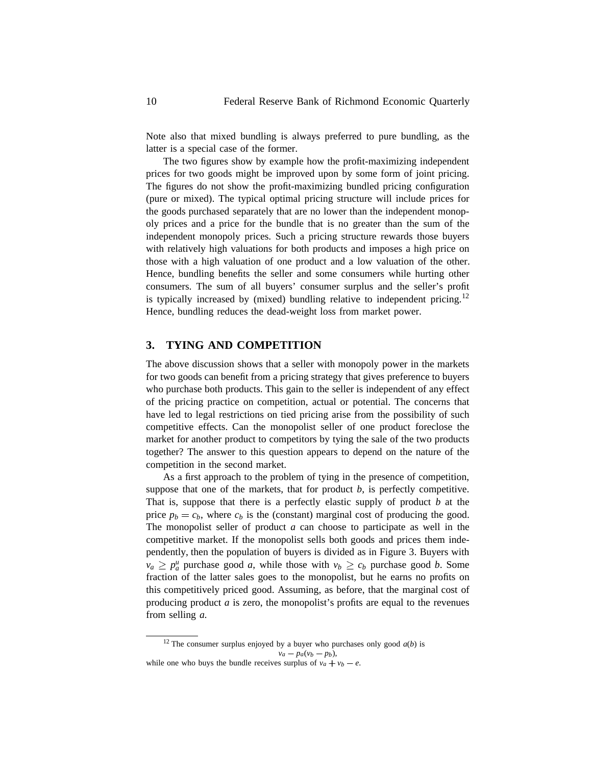Note also that mixed bundling is always preferred to pure bundling, as the latter is a special case of the former.

The two figures show by example how the profit-maximizing independent prices for two goods might be improved upon by some form of joint pricing. The figures do not show the profit-maximizing bundled pricing configuration (pure or mixed). The typical optimal pricing structure will include prices for the goods purchased separately that are no lower than the independent monopoly prices and a price for the bundle that is no greater than the sum of the independent monopoly prices. Such a pricing structure rewards those buyers with relatively high valuations for both products and imposes a high price on those with a high valuation of one product and a low valuation of the other. Hence, bundling benefits the seller and some consumers while hurting other consumers. The sum of all buyers' consumer surplus and the seller's profit is typically increased by (mixed) bundling relative to independent pricing.<sup>12</sup> Hence, bundling reduces the dead-weight loss from market power.

# **3. TYING AND COMPETITION**

The above discussion shows that a seller with monopoly power in the markets for two goods can benefit from a pricing strategy that gives preference to buyers who purchase both products. This gain to the seller is independent of any effect of the pricing practice on competition, actual or potential. The concerns that have led to legal restrictions on tied pricing arise from the possibility of such competitive effects. Can the monopolist seller of one product foreclose the market for another product to competitors by tying the sale of the two products together? The answer to this question appears to depend on the nature of the competition in the second market.

As a first approach to the problem of tying in the presence of competition, suppose that one of the markets, that for product  $b$ , is perfectly competitive. That is, suppose that there is a perfectly elastic supply of product *b* at the price  $p_b = c_b$ , where  $c_b$  is the (constant) marginal cost of producing the good. The monopolist seller of product *a* can choose to participate as well in the competitive market. If the monopolist sells both goods and prices them independently, then the population of buyers is divided as in Figure 3. Buyers with  $v_a \geq p_a^u$  purchase good *a*, while those with  $v_b \geq c_b$  purchase good *b*. Some fraction of the latter sales goes to the monopolist, but he earns no profits on this competitively priced good. Assuming, as before, that the marginal cost of producing product *a* is zero, the monopolist's profits are equal to the revenues from selling *a*.

<sup>&</sup>lt;sup>12</sup> The consumer surplus enjoyed by a buyer who purchases only good  $a(b)$  is  $v_a - p_a(v_b - p_b)$ , while one who buys the bundle receives surplus of  $v_a + v_b - e$ .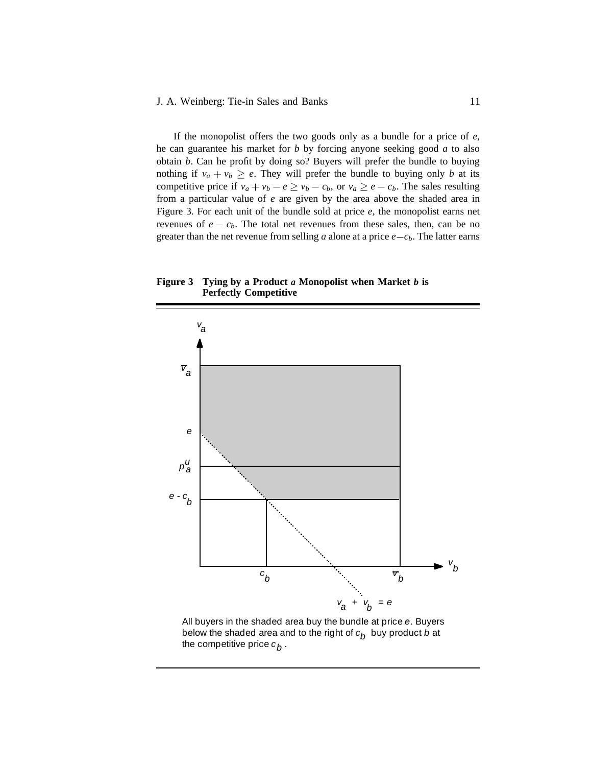If the monopolist offers the two goods only as a bundle for a price of *e*, he can guarantee his market for *b* by forcing anyone seeking good *a* to also obtain *b*. Can he profit by doing so? Buyers will prefer the bundle to buying nothing if  $v_a + v_b \ge e$ . They will prefer the bundle to buying only *b* at its competitive price if  $v_a + v_b - e \ge v_b - c_b$ , or  $v_a \ge e - c_b$ . The sales resulting from a particular value of *e* are given by the area above the shaded area in Figure 3. For each unit of the bundle sold at price *e*, the monopolist earns net revenues of  $e - c_b$ . The total net revenues from these sales, then, can be no greater than the net revenue from selling  $a$  alone at a price  $e - c_b$ . The latter earns

**Figure 3 Tying by a Product** *a* **Monopolist when Market** *b* **is Perfectly Competitive**



All buyers in the shaded area buy the bundle at price *e*. Buyers below the shaded area and to the right of  $c_b$  buy product *b* at the competitive price  $c_{\boldsymbol{b}}$  .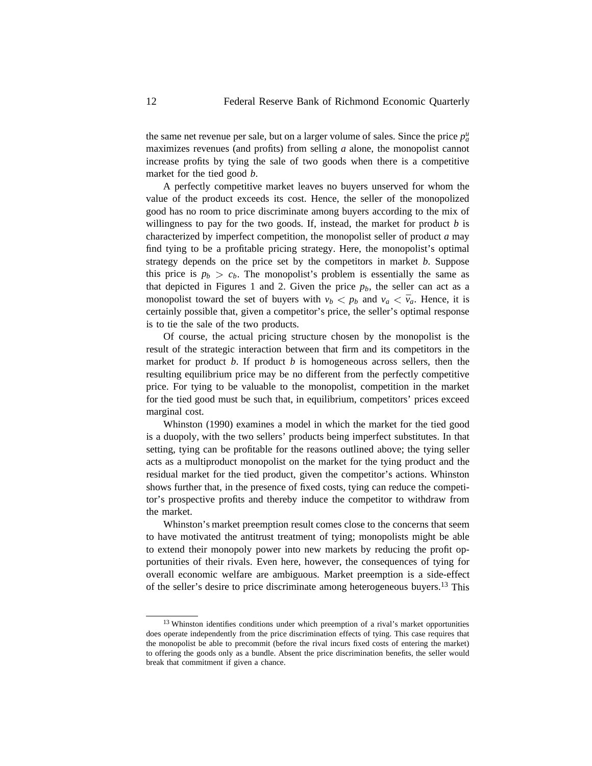the same net revenue per sale, but on a larger volume of sales. Since the price  $p_a^u$ maximizes revenues (and profits) from selling *a* alone, the monopolist cannot increase profits by tying the sale of two goods when there is a competitive market for the tied good *b*.

A perfectly competitive market leaves no buyers unserved for whom the value of the product exceeds its cost. Hence, the seller of the monopolized good has no room to price discriminate among buyers according to the mix of willingness to pay for the two goods. If, instead, the market for product *b* is characterized by imperfect competition, the monopolist seller of product *a* may find tying to be a profitable pricing strategy. Here, the monopolist's optimal strategy depends on the price set by the competitors in market *b*. Suppose this price is  $p_b > c_b$ . The monopolist's problem is essentially the same as that depicted in Figures 1 and 2. Given the price  $p_b$ , the seller can act as a monopolist toward the set of buyers with  $v_b < p_b$  and  $v_a < \bar{v}_a$ . Hence, it is certainly possible that, given a competitor's price, the seller's optimal response is to tie the sale of the two products.

Of course, the actual pricing structure chosen by the monopolist is the result of the strategic interaction between that firm and its competitors in the market for product *b*. If product *b* is homogeneous across sellers, then the resulting equilibrium price may be no different from the perfectly competitive price. For tying to be valuable to the monopolist, competition in the market for the tied good must be such that, in equilibrium, competitors' prices exceed marginal cost.

Whinston (1990) examines a model in which the market for the tied good is a duopoly, with the two sellers' products being imperfect substitutes. In that setting, tying can be profitable for the reasons outlined above; the tying seller acts as a multiproduct monopolist on the market for the tying product and the residual market for the tied product, given the competitor's actions. Whinston shows further that, in the presence of fixed costs, tying can reduce the competitor's prospective profits and thereby induce the competitor to withdraw from the market.

Whinston's market preemption result comes close to the concerns that seem to have motivated the antitrust treatment of tying; monopolists might be able to extend their monopoly power into new markets by reducing the profit opportunities of their rivals. Even here, however, the consequences of tying for overall economic welfare are ambiguous. Market preemption is a side-effect of the seller's desire to price discriminate among heterogeneous buyers.<sup>13</sup> This

<sup>&</sup>lt;sup>13</sup> Whinston identifies conditions under which preemption of a rival's market opportunities does operate independently from the price discrimination effects of tying. This case requires that the monopolist be able to precommit (before the rival incurs fixed costs of entering the market) to offering the goods only as a bundle. Absent the price discrimination benefits, the seller would break that commitment if given a chance.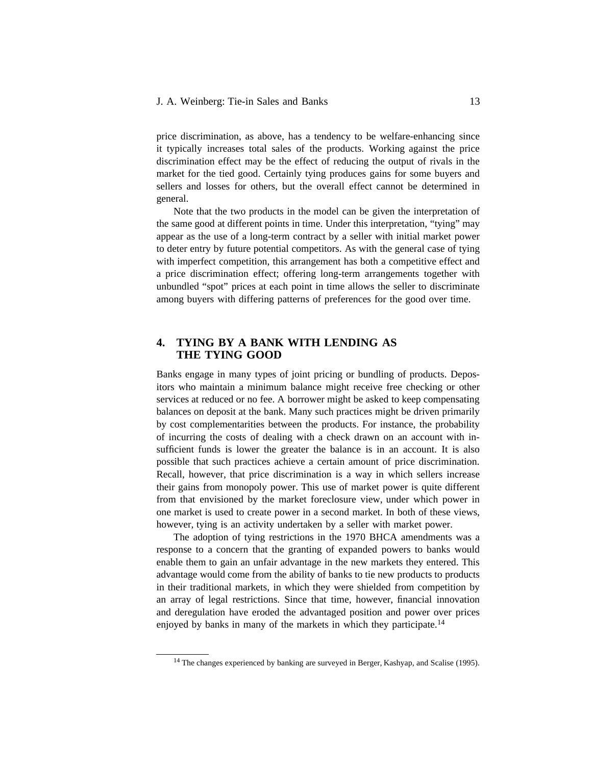price discrimination, as above, has a tendency to be welfare-enhancing since it typically increases total sales of the products. Working against the price discrimination effect may be the effect of reducing the output of rivals in the market for the tied good. Certainly tying produces gains for some buyers and sellers and losses for others, but the overall effect cannot be determined in general.

Note that the two products in the model can be given the interpretation of the same good at different points in time. Under this interpretation, "tying" may appear as the use of a long-term contract by a seller with initial market power to deter entry by future potential competitors. As with the general case of tying with imperfect competition, this arrangement has both a competitive effect and a price discrimination effect; offering long-term arrangements together with unbundled "spot" prices at each point in time allows the seller to discriminate among buyers with differing patterns of preferences for the good over time.

# **4. TYING BY A BANK WITH LENDING AS THE TYING GOOD**

Banks engage in many types of joint pricing or bundling of products. Depositors who maintain a minimum balance might receive free checking or other services at reduced or no fee. A borrower might be asked to keep compensating balances on deposit at the bank. Many such practices might be driven primarily by cost complementarities between the products. For instance, the probability of incurring the costs of dealing with a check drawn on an account with insufficient funds is lower the greater the balance is in an account. It is also possible that such practices achieve a certain amount of price discrimination. Recall, however, that price discrimination is a way in which sellers increase their gains from monopoly power. This use of market power is quite different from that envisioned by the market foreclosure view, under which power in one market is used to create power in a second market. In both of these views, however, tying is an activity undertaken by a seller with market power.

The adoption of tying restrictions in the 1970 BHCA amendments was a response to a concern that the granting of expanded powers to banks would enable them to gain an unfair advantage in the new markets they entered. This advantage would come from the ability of banks to tie new products to products in their traditional markets, in which they were shielded from competition by an array of legal restrictions. Since that time, however, financial innovation and deregulation have eroded the advantaged position and power over prices enjoyed by banks in many of the markets in which they participate.<sup>14</sup>

<sup>&</sup>lt;sup>14</sup> The changes experienced by banking are surveyed in Berger, Kashyap, and Scalise (1995).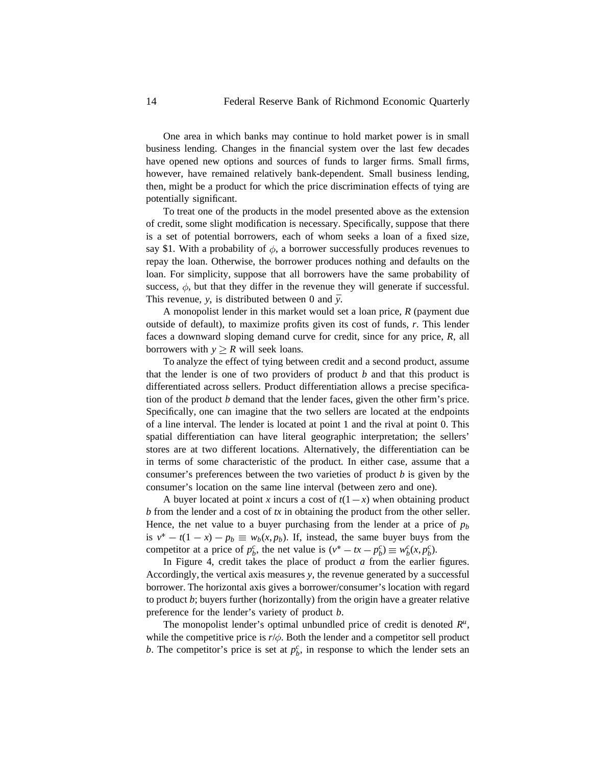One area in which banks may continue to hold market power is in small business lending. Changes in the financial system over the last few decades have opened new options and sources of funds to larger firms. Small firms, however, have remained relatively bank-dependent. Small business lending, then, might be a product for which the price discrimination effects of tying are potentially significant.

To treat one of the products in the model presented above as the extension of credit, some slight modification is necessary. Specifically, suppose that there is a set of potential borrowers, each of whom seeks a loan of a fixed size, say \$1. With a probability of  $\phi$ , a borrower successfully produces revenues to repay the loan. Otherwise, the borrower produces nothing and defaults on the loan. For simplicity, suppose that all borrowers have the same probability of success,  $\phi$ , but that they differ in the revenue they will generate if successful. This revenue, *y*, is distributed between 0 and  $\bar{y}$ .

A monopolist lender in this market would set a loan price, *R* (payment due outside of default), to maximize profits given its cost of funds, *r*. This lender faces a downward sloping demand curve for credit, since for any price, *R*, all borrowers with  $y > R$  will seek loans.

To analyze the effect of tying between credit and a second product, assume that the lender is one of two providers of product *b* and that this product is differentiated across sellers. Product differentiation allows a precise specification of the product *b* demand that the lender faces, given the other firm's price. Specifically, one can imagine that the two sellers are located at the endpoints of a line interval. The lender is located at point 1 and the rival at point 0. This spatial differentiation can have literal geographic interpretation; the sellers' stores are at two different locations. Alternatively, the differentiation can be in terms of some characteristic of the product. In either case, assume that a consumer's preferences between the two varieties of product *b* is given by the consumer's location on the same line interval (between zero and one).

A buyer located at point *x* incurs a cost of  $t(1-x)$  when obtaining product *b* from the lender and a cost of *tx* in obtaining the product from the other seller. Hence, the net value to a buyer purchasing from the lender at a price of  $p<sub>b</sub>$ is  $v^* - t(1 - x) - p_b \equiv w_b(x, p_b)$ . If, instead, the same buyer buys from the competitor at a price of  $p_b^c$ , the net value is  $(v^* - tx - p_b^c) \equiv w_b^c(x, p_b^c)$ .

In Figure 4, credit takes the place of product *a* from the earlier figures. Accordingly, the vertical axis measures *y*, the revenue generated by a successful borrower. The horizontal axis gives a borrower/consumer's location with regard to product *b*; buyers further (horizontally) from the origin have a greater relative preference for the lender's variety of product *b*.

The monopolist lender's optimal unbundled price of credit is denoted  $R^u$ , while the competitive price is  $r/\phi$ . Both the lender and a competitor sell product *b*. The competitor's price is set at  $p_b^c$ , in response to which the lender sets an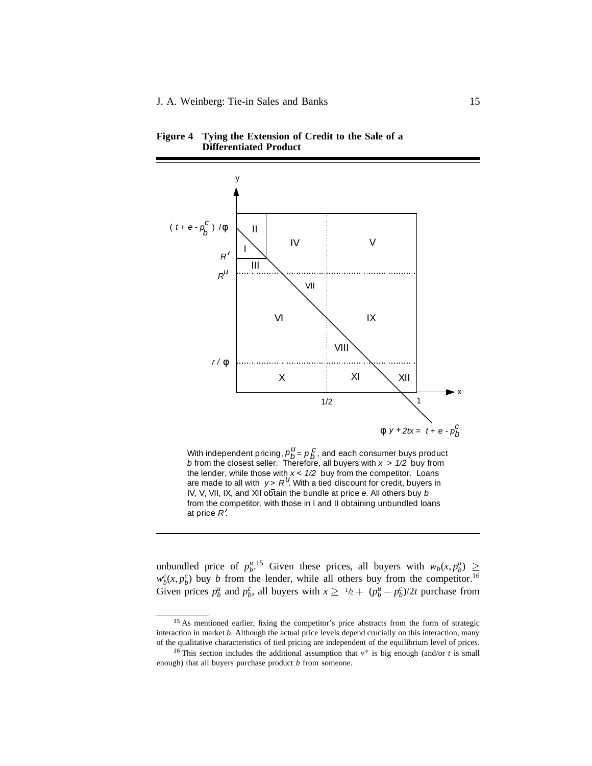

**Figure 4 Tying the Extension of Credit to the Sale of a Differentiated Product**

With independent pricing,  $p_B^u = p_B^u$ , and each consumer buys product *b* from the closest seller. Therefore, all buyers with *x* > *1/2* buy from the lender, while those with *x* < *1/2* buy from the competitor. Loans are made to all with *y > R<sup>u</sup>*. With a tied discount for credit, buyers in IV, V, VII, IX, and XII obtain the bundle at price *e*. All others buy *b* from the competitor, with those in I and II obtaining unbundled loans at price *R* . *u*  $p_b^U = p_b^C$ 

unbundled price of  $p_b^u$ <sup>15</sup> Given these prices, all buyers with  $w_b(x, p_b^u)$  $w_b^c(x, p_b^c)$  buy *b* from the lender, while all others buy from the competitor.<sup>16</sup> Given prices  $p_b^u$  and  $p_b^c$ , all buyers with  $x \ge 1/2 + (p_b^u - p_b^c)/2t$  purchase from

 $\ddot{}$ 

<sup>&</sup>lt;sup>15</sup> As mentioned earlier, fixing the competitor's price abstracts from the form of strategic interaction in market *b*. Although the actual price levels depend crucially on this interaction, many of the qualitative characteristics of tied pricing are independent of the equilibrium level of prices.

<sup>&</sup>lt;sup>16</sup> This section includes the additional assumption that  $v^*$  is big enough (and/or *t* is small enough) that all buyers purchase product *b* from someone.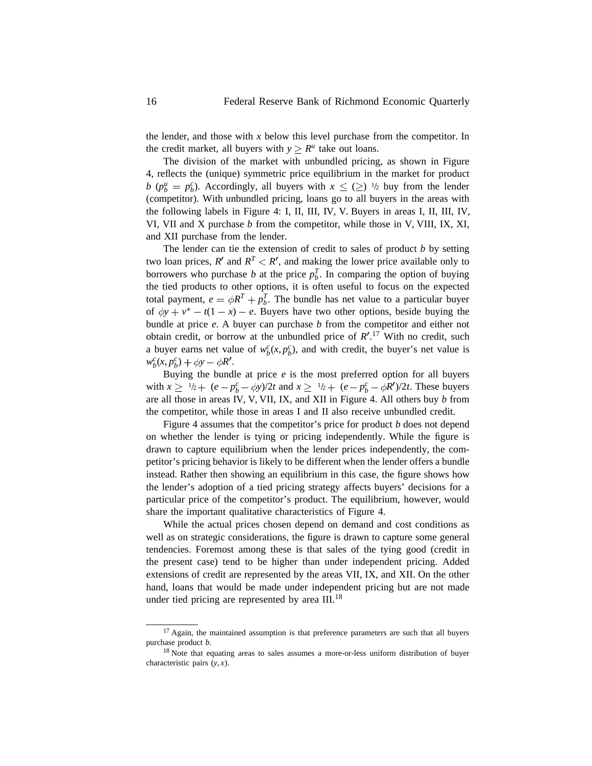the lender, and those with *x* below this level purchase from the competitor. In the credit market, all buyers with  $y \ge R^u$  take out loans.

The division of the market with unbundled pricing, as shown in Figure 4, reflects the (unique) symmetric price equilibrium in the market for product *b* ( $p_b^u = p_b^c$ ). Accordingly, all buyers with  $x \leq \geq 1/2$  buy from the lender (competitor). With unbundled pricing, loans go to all buyers in the areas with the following labels in Figure 4: I, II, III, IV, V. Buyers in areas I, II, III, IV, VI, VII and X purchase *b* from the competitor, while those in V, VIII, IX, XI, and XII purchase from the lender.

The lender can tie the extension of credit to sales of product *b* by setting two loan prices,  $R'$  and  $R^T < R'$ , and making the lower price available only to borrowers who purchase *b* at the price  $p_b^T$ . In comparing the option of buying the tied products to other options, it is often useful to focus on the expected total payment,  $e = \phi R^T + p_b^T$ . The bundle has net value to a particular buyer of  $\phi y + v^* - t(1 - x) - e$ . Buyers have two other options, beside buying the bundle at price *e*. A buyer can purchase *b* from the competitor and either not obtain credit, or borrow at the unbundled price of  $R'.^{17}$  With no credit, such a buyer earns net value of  $w_b^c(x, p_b^c)$ , and with credit, the buyer's net value is  $w_b^c(x, p_b^c) + \phi y - \phi R'.$ 

Buying the bundle at price *e* is the most preferred option for all buyers with  $x \ge 1/2 + (e - p_b^c - \phi y)/2t$  and  $x \ge 1/2 + (e - p_b^c - \phi R')/2t$ . These buyers are all those in areas IV, V, VII, IX, and XII in Figure 4. All others buy *b* from the competitor, while those in areas I and II also receive unbundled credit.

Figure 4 assumes that the competitor's price for product *b* does not depend on whether the lender is tying or pricing independently. While the figure is drawn to capture equilibrium when the lender prices independently, the competitor's pricing behavior is likely to be different when the lender offers a bundle instead. Rather then showing an equilibrium in this case, the figure shows how the lender's adoption of a tied pricing strategy affects buyers' decisions for a particular price of the competitor's product. The equilibrium, however, would share the important qualitative characteristics of Figure 4.

While the actual prices chosen depend on demand and cost conditions as well as on strategic considerations, the figure is drawn to capture some general tendencies. Foremost among these is that sales of the tying good (credit in the present case) tend to be higher than under independent pricing. Added extensions of credit are represented by the areas VII, IX, and XII. On the other hand, loans that would be made under independent pricing but are not made under tied pricing are represented by area III.<sup>18</sup>

<sup>&</sup>lt;sup>17</sup> Again, the maintained assumption is that preference parameters are such that all buyers purchase product *b*.

<sup>&</sup>lt;sup>18</sup> Note that equating areas to sales assumes a more-or-less uniform distribution of buyer characteristic pairs (*y*, *x*).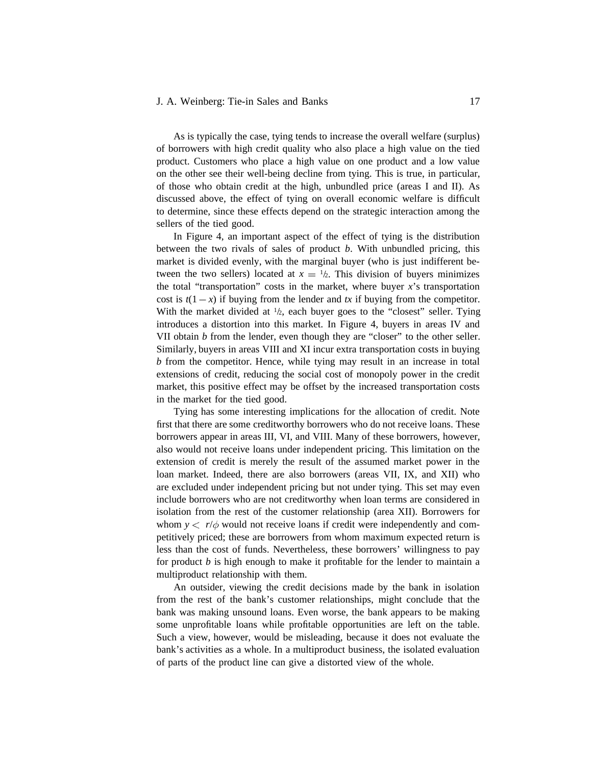#### J. A. Weinberg: Tie-in Sales and Banks 17

As is typically the case, tying tends to increase the overall welfare (surplus) of borrowers with high credit quality who also place a high value on the tied product. Customers who place a high value on one product and a low value on the other see their well-being decline from tying. This is true, in particular, of those who obtain credit at the high, unbundled price (areas I and II). As discussed above, the effect of tying on overall economic welfare is difficult to determine, since these effects depend on the strategic interaction among the sellers of the tied good.

In Figure 4, an important aspect of the effect of tying is the distribution between the two rivals of sales of product *b*. With unbundled pricing, this market is divided evenly, with the marginal buyer (who is just indifferent between the two sellers) located at  $x = \frac{1}{2}$ . This division of buyers minimizes the total "transportation" costs in the market, where buyer  $x$ 's transportation cost is  $t(1-x)$  if buying from the lender and *tx* if buying from the competitor. With the market divided at  $1/2$ , each buyer goes to the "closest" seller. Tying introduces a distortion into this market. In Figure 4, buyers in areas IV and VII obtain *b* from the lender, even though they are "closer" to the other seller. Similarly, buyers in areas VIII and XI incur extra transportation costs in buying *b* from the competitor. Hence, while tying may result in an increase in total extensions of credit, reducing the social cost of monopoly power in the credit market, this positive effect may be offset by the increased transportation costs in the market for the tied good.

Tying has some interesting implications for the allocation of credit. Note first that there are some creditworthy borrowers who do not receive loans. These borrowers appear in areas III, VI, and VIII. Many of these borrowers, however, also would not receive loans under independent pricing. This limitation on the extension of credit is merely the result of the assumed market power in the loan market. Indeed, there are also borrowers (areas VII, IX, and XII) who are excluded under independent pricing but not under tying. This set may even include borrowers who are not creditworthy when loan terms are considered in isolation from the rest of the customer relationship (area XII). Borrowers for whom  $y < r/\phi$  would not receive loans if credit were independently and competitively priced; these are borrowers from whom maximum expected return is less than the cost of funds. Nevertheless, these borrowers' willingness to pay for product *b* is high enough to make it profitable for the lender to maintain a multiproduct relationship with them.

An outsider, viewing the credit decisions made by the bank in isolation from the rest of the bank's customer relationships, might conclude that the bank was making unsound loans. Even worse, the bank appears to be making some unprofitable loans while profitable opportunities are left on the table. Such a view, however, would be misleading, because it does not evaluate the bank's activities as a whole. In a multiproduct business, the isolated evaluation of parts of the product line can give a distorted view of the whole.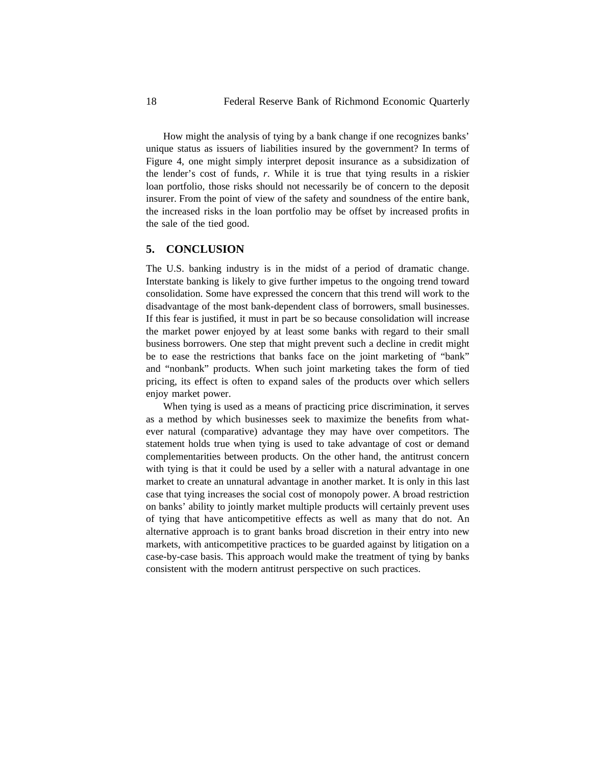How might the analysis of tying by a bank change if one recognizes banks' unique status as issuers of liabilities insured by the government? In terms of Figure 4, one might simply interpret deposit insurance as a subsidization of the lender's cost of funds, *r*. While it is true that tying results in a riskier loan portfolio, those risks should not necessarily be of concern to the deposit insurer. From the point of view of the safety and soundness of the entire bank, the increased risks in the loan portfolio may be offset by increased profits in the sale of the tied good.

# **5. CONCLUSION**

The U.S. banking industry is in the midst of a period of dramatic change. Interstate banking is likely to give further impetus to the ongoing trend toward consolidation. Some have expressed the concern that this trend will work to the disadvantage of the most bank-dependent class of borrowers, small businesses. If this fear is justified, it must in part be so because consolidation will increase the market power enjoyed by at least some banks with regard to their small business borrowers. One step that might prevent such a decline in credit might be to ease the restrictions that banks face on the joint marketing of "bank" and "nonbank" products. When such joint marketing takes the form of tied pricing, its effect is often to expand sales of the products over which sellers enjoy market power.

When tying is used as a means of practicing price discrimination, it serves as a method by which businesses seek to maximize the benefits from whatever natural (comparative) advantage they may have over competitors. The statement holds true when tying is used to take advantage of cost or demand complementarities between products. On the other hand, the antitrust concern with tying is that it could be used by a seller with a natural advantage in one market to create an unnatural advantage in another market. It is only in this last case that tying increases the social cost of monopoly power. A broad restriction on banks' ability to jointly market multiple products will certainly prevent uses of tying that have anticompetitive effects as well as many that do not. An alternative approach is to grant banks broad discretion in their entry into new markets, with anticompetitive practices to be guarded against by litigation on a case-by-case basis. This approach would make the treatment of tying by banks consistent with the modern antitrust perspective on such practices.